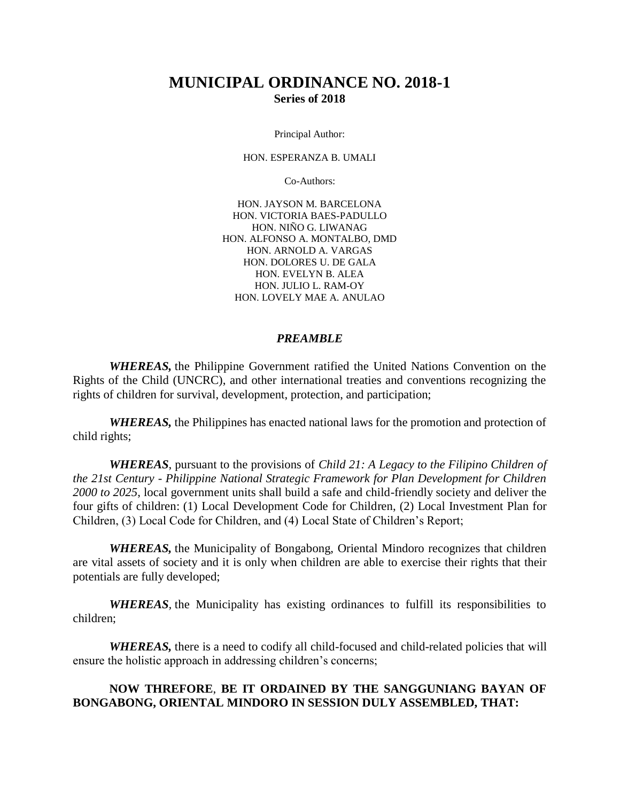# **MUNICIPAL ORDINANCE NO. 2018-1 Series of 2018**

Principal Author:

HON. ESPERANZA B. UMALI

Co-Authors:

HON. JAYSON M. BARCELONA HON. VICTORIA BAES-PADULLO HON. NIÑO G. LIWANAG HON. ALFONSO A. MONTALBO, DMD HON. ARNOLD A. VARGAS HON. DOLORES U. DE GALA HON. EVELYN B. ALEA HON. JULIO L. RAM-OY HON. LOVELY MAE A. ANULAO

#### *PREAMBLE*

*WHEREAS,* the Philippine Government ratified the United Nations Convention on the Rights of the Child (UNCRC), and other international treaties and conventions recognizing the rights of children for survival, development, protection, and participation;

*WHEREAS,* the Philippines has enacted national laws for the promotion and protection of child rights;

*WHEREAS*, pursuant to the provisions of *Child 21: A Legacy to the Filipino Children of the 21st Century - Philippine National Strategic Framework for Plan Development for Children 2000 to 2025*, local government units shall build a safe and child-friendly society and deliver the four gifts of children: (1) Local Development Code for Children, (2) Local Investment Plan for Children, (3) Local Code for Children, and (4) Local State of Children's Report;

*WHEREAS,* the Municipality of Bongabong, Oriental Mindoro recognizes that children are vital assets of society and it is only when children are able to exercise their rights that their potentials are fully developed;

*WHEREAS,* the Municipality has existing ordinances to fulfill its responsibilities to children;

*WHEREAS,* there is a need to codify all child-focused and child-related policies that will ensure the holistic approach in addressing children's concerns;

#### **NOW THREFORE**, **BE IT ORDAINED BY THE SANGGUNIANG BAYAN OF BONGABONG, ORIENTAL MINDORO IN SESSION DULY ASSEMBLED, THAT:**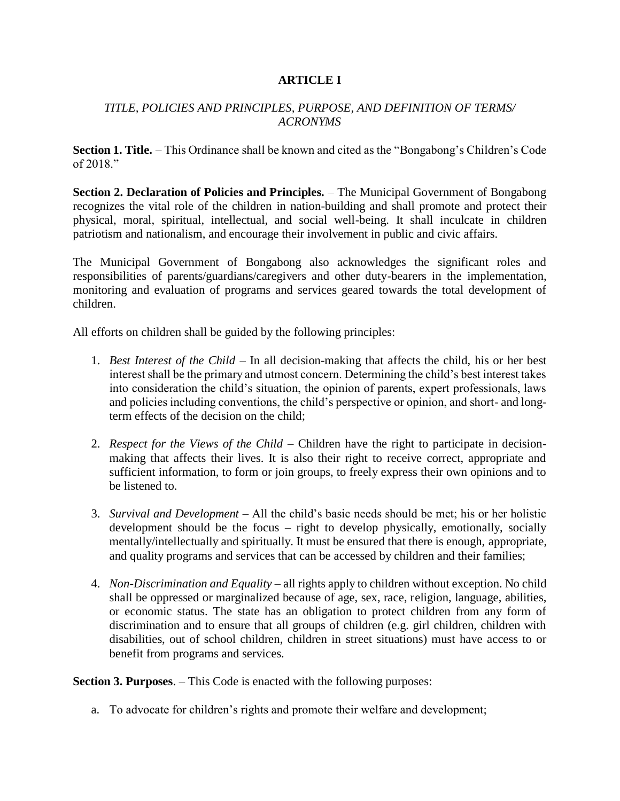# **ARTICLE I**

# *TITLE, POLICIES AND PRINCIPLES, PURPOSE, AND DEFINITION OF TERMS/ ACRONYMS*

**Section 1. Title.** – This Ordinance shall be known and cited as the "Bongabong's Children's Code of 2018."

**Section 2. Declaration of Policies and Principles.** – The Municipal Government of Bongabong recognizes the vital role of the children in nation-building and shall promote and protect their physical, moral, spiritual, intellectual, and social well-being. It shall inculcate in children patriotism and nationalism, and encourage their involvement in public and civic affairs.

The Municipal Government of Bongabong also acknowledges the significant roles and responsibilities of parents/guardians/caregivers and other duty-bearers in the implementation, monitoring and evaluation of programs and services geared towards the total development of children.

All efforts on children shall be guided by the following principles:

- 1. *Best Interest of the Child* In all decision-making that affects the child, his or her best interest shall be the primary and utmost concern. Determining the child's best interest takes into consideration the child's situation, the opinion of parents, expert professionals, laws and policies including conventions, the child's perspective or opinion, and short- and longterm effects of the decision on the child;
- 2. *Respect for the Views of the Child* Children have the right to participate in decisionmaking that affects their lives. It is also their right to receive correct, appropriate and sufficient information, to form or join groups, to freely express their own opinions and to be listened to.
- 3. *Survival and Development* All the child's basic needs should be met; his or her holistic development should be the focus – right to develop physically, emotionally, socially mentally/intellectually and spiritually. It must be ensured that there is enough, appropriate, and quality programs and services that can be accessed by children and their families;
- 4. *Non-Discrimination and Equality* all rights apply to children without exception. No child shall be oppressed or marginalized because of age, sex, race, religion, language, abilities, or economic status. The state has an obligation to protect children from any form of discrimination and to ensure that all groups of children (e.g. girl children, children with disabilities, out of school children, children in street situations) must have access to or benefit from programs and services.

**Section 3. Purposes**. – This Code is enacted with the following purposes:

a. To advocate for children's rights and promote their welfare and development;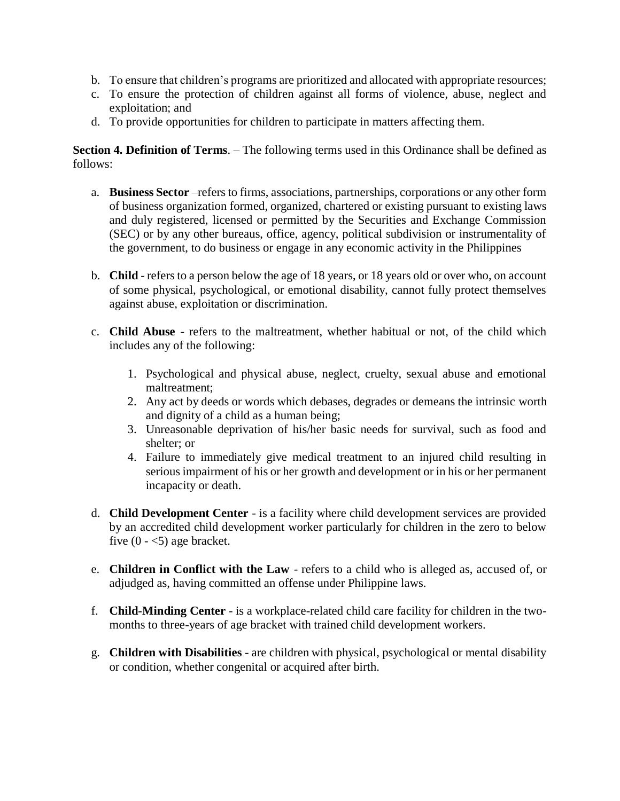- b. To ensure that children's programs are prioritized and allocated with appropriate resources;
- c. To ensure the protection of children against all forms of violence, abuse, neglect and exploitation; and
- d. To provide opportunities for children to participate in matters affecting them.

**Section 4. Definition of Terms**. – The following terms used in this Ordinance shall be defined as follows:

- a. **Business Sector** –refers to firms, associations, partnerships, corporations or any other form of business organization formed, organized, chartered or existing pursuant to existing laws and duly registered, licensed or permitted by the Securities and Exchange Commission (SEC) or by any other bureaus, office, agency, political subdivision or instrumentality of the government, to do business or engage in any economic activity in the Philippines
- b. **Child** refers to a person below the age of 18 years, or 18 years old or over who, on account of some physical, psychological, or emotional disability, cannot fully protect themselves against abuse, exploitation or discrimination.
- c. **Child Abuse** refers to the maltreatment, whether habitual or not, of the child which includes any of the following:
	- 1. Psychological and physical abuse, neglect, cruelty, sexual abuse and emotional maltreatment;
	- 2. Any act by deeds or words which debases, degrades or demeans the intrinsic worth and dignity of a child as a human being;
	- 3. Unreasonable deprivation of his/her basic needs for survival, such as food and shelter; or
	- 4. Failure to immediately give medical treatment to an injured child resulting in serious impairment of his or her growth and development or in his or her permanent incapacity or death.
- d. **Child Development Center** is a facility where child development services are provided by an accredited child development worker particularly for children in the zero to below five  $(0 - 5)$  age bracket.
- e. **Children in Conflict with the Law** refers to a child who is alleged as, accused of, or adjudged as, having committed an offense under Philippine laws.
- f. **Child-Minding Center** is a workplace-related child care facility for children in the twomonths to three-years of age bracket with trained child development workers.
- g. **Children with Disabilities** are children with physical, psychological or mental disability or condition, whether congenital or acquired after birth.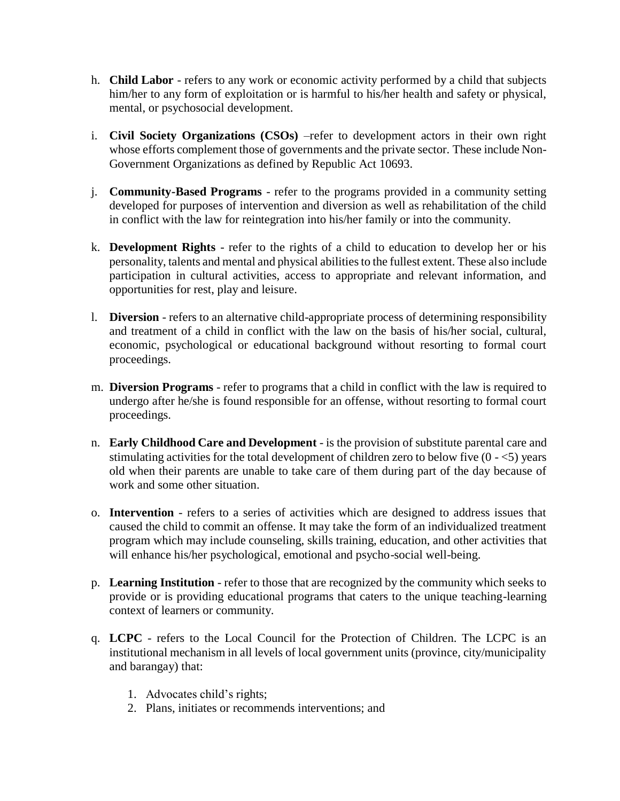- h. **Child Labor** refers to any work or economic activity performed by a child that subjects him/her to any form of exploitation or is harmful to his/her health and safety or physical, mental, or psychosocial development.
- i. **Civil Society Organizations (CSOs)** –refer to development actors in their own right whose efforts complement those of governments and the private sector. These include Non-Government Organizations as defined by Republic Act 10693.
- j. **Community-Based Programs** refer to the programs provided in a community setting developed for purposes of intervention and diversion as well as rehabilitation of the child in conflict with the law for reintegration into his/her family or into the community.
- k. **Development Rights** refer to the rights of a child to education to develop her or his personality, talents and mental and physical abilities to the fullest extent. These also include participation in cultural activities, access to appropriate and relevant information, and opportunities for rest, play and leisure.
- l. **Diversion** refers to an alternative child-appropriate process of determining responsibility and treatment of a child in conflict with the law on the basis of his/her social, cultural, economic, psychological or educational background without resorting to formal court proceedings.
- m. **Diversion Programs** refer to programs that a child in conflict with the law is required to undergo after he/she is found responsible for an offense, without resorting to formal court proceedings.
- n. **Early Childhood Care and Development** is the provision of substitute parental care and stimulating activities for the total development of children zero to below five  $(0 - 5)$  years old when their parents are unable to take care of them during part of the day because of work and some other situation.
- o. **Intervention** refers to a series of activities which are designed to address issues that caused the child to commit an offense. It may take the form of an individualized treatment program which may include counseling, skills training, education, and other activities that will enhance his/her psychological, emotional and psycho-social well-being.
- p. **Learning Institution**  refer to those that are recognized by the community which seeks to provide or is providing educational programs that caters to the unique teaching-learning context of learners or community.
- q. **LCPC**  refers to the Local Council for the Protection of Children. The LCPC is an institutional mechanism in all levels of local government units (province, city/municipality and barangay) that:
	- 1. Advocates child's rights;
	- 2. Plans, initiates or recommends interventions; and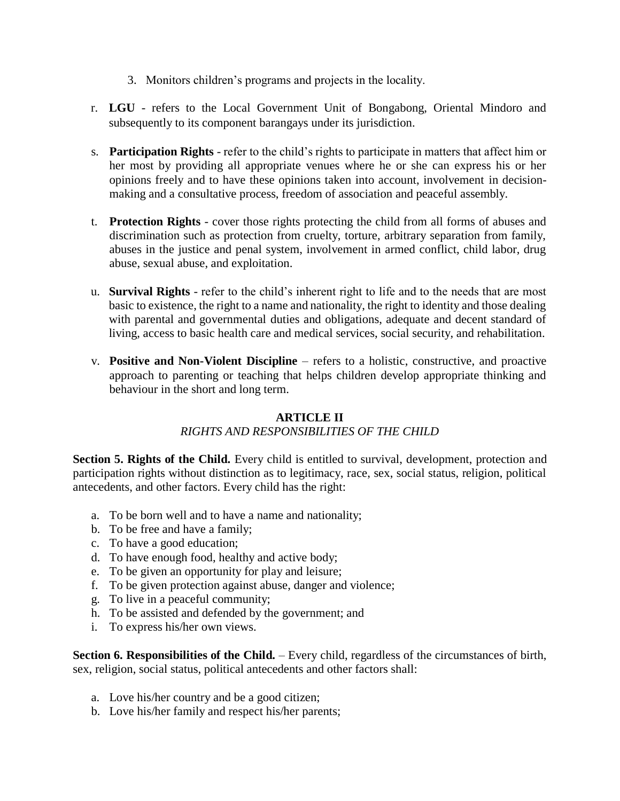- 3. Monitors children's programs and projects in the locality.
- r. **LGU** refers to the Local Government Unit of Bongabong, Oriental Mindoro and subsequently to its component barangays under its jurisdiction.
- s. **Participation Rights** refer to the child's rights to participate in matters that affect him or her most by providing all appropriate venues where he or she can express his or her opinions freely and to have these opinions taken into account, involvement in decisionmaking and a consultative process, freedom of association and peaceful assembly.
- t. **Protection Rights** cover those rights protecting the child from all forms of abuses and discrimination such as protection from cruelty, torture, arbitrary separation from family, abuses in the justice and penal system, involvement in armed conflict, child labor, drug abuse, sexual abuse, and exploitation.
- u. **Survival Rights** refer to the child's inherent right to life and to the needs that are most basic to existence, the right to a name and nationality, the right to identity and those dealing with parental and governmental duties and obligations, adequate and decent standard of living, access to basic health care and medical services, social security, and rehabilitation.
- v. **Positive and Non-Violent Discipline** refers to a holistic, constructive, and proactive approach to parenting or teaching that helps children develop appropriate thinking and behaviour in the short and long term.

# **ARTICLE II**

# *RIGHTS AND RESPONSIBILITIES OF THE CHILD*

**Section 5. Rights of the Child.** Every child is entitled to survival, development, protection and participation rights without distinction as to legitimacy, race, sex, social status, religion, political antecedents, and other factors. Every child has the right:

- a. To be born well and to have a name and nationality;
- b. To be free and have a family;
- c. To have a good education;
- d. To have enough food, healthy and active body;
- e. To be given an opportunity for play and leisure;
- f. To be given protection against abuse, danger and violence;
- g. To live in a peaceful community;
- h. To be assisted and defended by the government; and
- i. To express his/her own views.

**Section 6. Responsibilities of the Child.** – Every child, regardless of the circumstances of birth, sex, religion, social status, political antecedents and other factors shall:

- a. Love his/her country and be a good citizen;
- b. Love his/her family and respect his/her parents;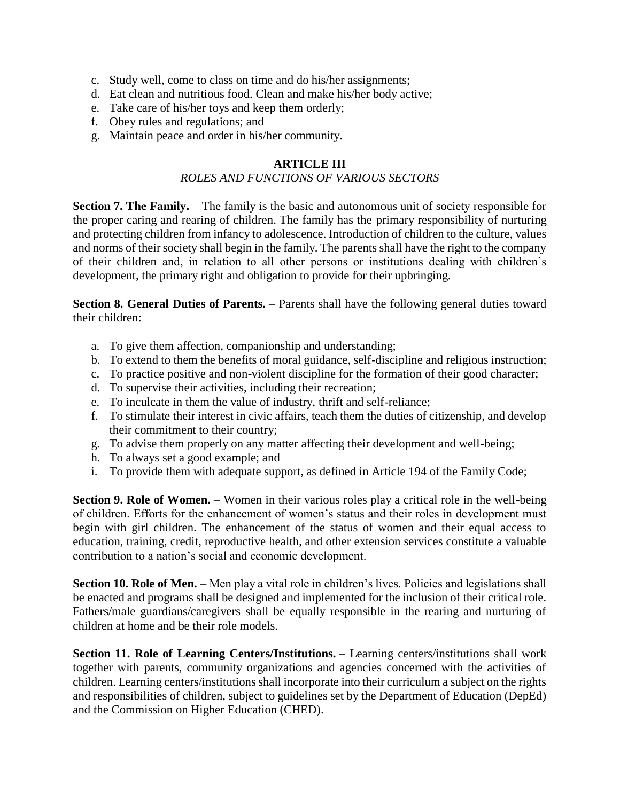- c. Study well, come to class on time and do his/her assignments;
- d. Eat clean and nutritious food. Clean and make his/her body active;
- e. Take care of his/her toys and keep them orderly;
- f. Obey rules and regulations; and
- g. Maintain peace and order in his/her community.

# **ARTICLE III**

## *ROLES AND FUNCTIONS OF VARIOUS SECTORS*

**Section 7. The Family.** – The family is the basic and autonomous unit of society responsible for the proper caring and rearing of children. The family has the primary responsibility of nurturing and protecting children from infancy to adolescence. Introduction of children to the culture, values and norms of their society shall begin in the family. The parents shall have the right to the company of their children and, in relation to all other persons or institutions dealing with children's development, the primary right and obligation to provide for their upbringing.

**Section 8. General Duties of Parents.** – Parents shall have the following general duties toward their children:

- a. To give them affection, companionship and understanding;
- b. To extend to them the benefits of moral guidance, self-discipline and religious instruction;
- c. To practice positive and non-violent discipline for the formation of their good character;
- d. To supervise their activities, including their recreation;
- e. To inculcate in them the value of industry, thrift and self-reliance;
- f. To stimulate their interest in civic affairs, teach them the duties of citizenship, and develop their commitment to their country;
- g. To advise them properly on any matter affecting their development and well-being;
- h. To always set a good example; and
- i. To provide them with adequate support, as defined in Article 194 of the Family Code;

**Section 9. Role of Women.** – Women in their various roles play a critical role in the well-being of children. Efforts for the enhancement of women's status and their roles in development must begin with girl children. The enhancement of the status of women and their equal access to education, training, credit, reproductive health, and other extension services constitute a valuable contribution to a nation's social and economic development.

**Section 10. Role of Men.** – Men play a vital role in children's lives. Policies and legislations shall be enacted and programs shall be designed and implemented for the inclusion of their critical role. Fathers/male guardians/caregivers shall be equally responsible in the rearing and nurturing of children at home and be their role models.

**Section 11. Role of Learning Centers/Institutions.** – Learning centers/institutions shall work together with parents, community organizations and agencies concerned with the activities of children. Learning centers/institutions shall incorporate into their curriculum a subject on the rights and responsibilities of children, subject to guidelines set by the Department of Education (DepEd) and the Commission on Higher Education (CHED).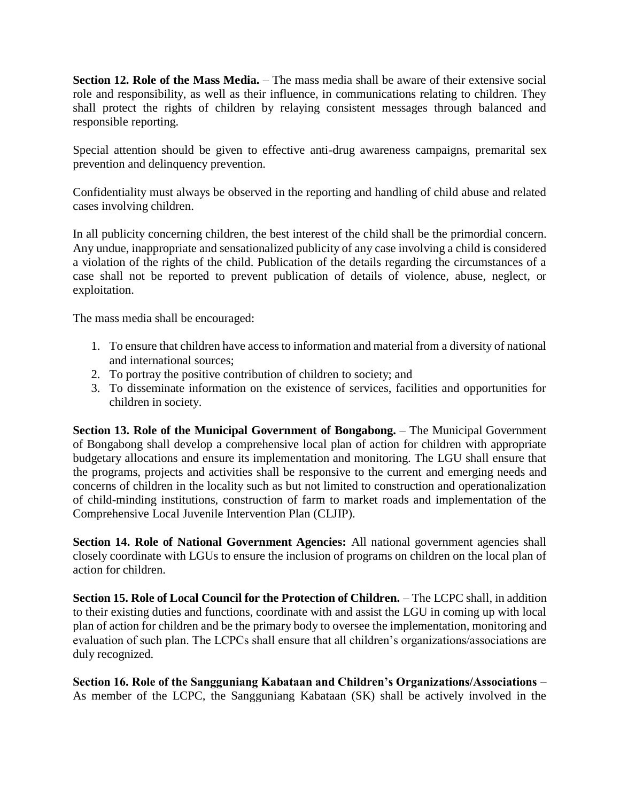**Section 12. Role of the Mass Media.** – The mass media shall be aware of their extensive social role and responsibility, as well as their influence, in communications relating to children. They shall protect the rights of children by relaying consistent messages through balanced and responsible reporting.

Special attention should be given to effective anti-drug awareness campaigns, premarital sex prevention and delinquency prevention.

Confidentiality must always be observed in the reporting and handling of child abuse and related cases involving children.

In all publicity concerning children, the best interest of the child shall be the primordial concern. Any undue, inappropriate and sensationalized publicity of any case involving a child is considered a violation of the rights of the child. Publication of the details regarding the circumstances of a case shall not be reported to prevent publication of details of violence, abuse, neglect, or exploitation.

The mass media shall be encouraged:

- 1. To ensure that children have access to information and material from a diversity of national and international sources;
- 2. To portray the positive contribution of children to society; and
- 3. To disseminate information on the existence of services, facilities and opportunities for children in society.

**Section 13. Role of the Municipal Government of Bongabong.** – The Municipal Government of Bongabong shall develop a comprehensive local plan of action for children with appropriate budgetary allocations and ensure its implementation and monitoring. The LGU shall ensure that the programs, projects and activities shall be responsive to the current and emerging needs and concerns of children in the locality such as but not limited to construction and operationalization of child-minding institutions, construction of farm to market roads and implementation of the Comprehensive Local Juvenile Intervention Plan (CLJIP).

**Section 14. Role of National Government Agencies:** All national government agencies shall closely coordinate with LGUs to ensure the inclusion of programs on children on the local plan of action for children.

**Section 15. Role of Local Council for the Protection of Children.** – The LCPC shall, in addition to their existing duties and functions, coordinate with and assist the LGU in coming up with local plan of action for children and be the primary body to oversee the implementation, monitoring and evaluation of such plan. The LCPCs shall ensure that all children's organizations/associations are duly recognized.

**Section 16. Role of the Sangguniang Kabataan and Children's Organizations/Associations** – As member of the LCPC, the Sangguniang Kabataan (SK) shall be actively involved in the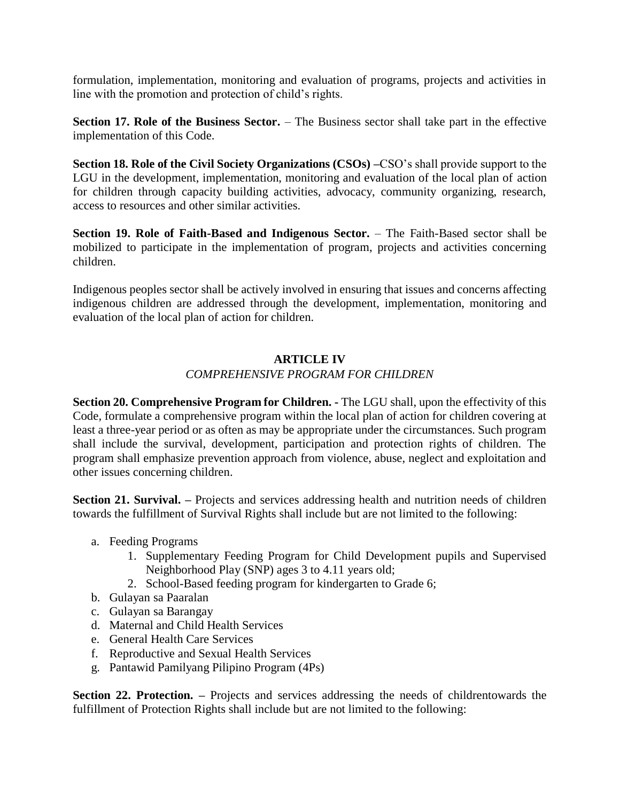formulation, implementation, monitoring and evaluation of programs, projects and activities in line with the promotion and protection of child's rights.

**Section 17. Role of the Business Sector.** – The Business sector shall take part in the effective implementation of this Code.

**Section 18. Role of the Civil Society Organizations (CSOs) –**CSO's shall provide support to the LGU in the development, implementation, monitoring and evaluation of the local plan of action for children through capacity building activities, advocacy, community organizing, research, access to resources and other similar activities.

**Section 19. Role of Faith-Based and Indigenous Sector.** – The Faith-Based sector shall be mobilized to participate in the implementation of program, projects and activities concerning children.

Indigenous peoples sector shall be actively involved in ensuring that issues and concerns affecting indigenous children are addressed through the development, implementation, monitoring and evaluation of the local plan of action for children.

## **ARTICLE IV**

## *COMPREHENSIVE PROGRAM FOR CHILDREN*

**Section 20. Comprehensive Program for Children. -** The LGU shall, upon the effectivity of this Code, formulate a comprehensive program within the local plan of action for children covering at least a three-year period or as often as may be appropriate under the circumstances. Such program shall include the survival, development, participation and protection rights of children. The program shall emphasize prevention approach from violence, abuse, neglect and exploitation and other issues concerning children.

**Section 21. Survival.** – Projects and services addressing health and nutrition needs of children towards the fulfillment of Survival Rights shall include but are not limited to the following:

- a. Feeding Programs
	- 1. Supplementary Feeding Program for Child Development pupils and Supervised Neighborhood Play (SNP) ages 3 to 4.11 years old;
	- 2. School-Based feeding program for kindergarten to Grade 6;
- b. Gulayan sa Paaralan
- c. Gulayan sa Barangay
- d. Maternal and Child Health Services
- e. General Health Care Services
- f. Reproductive and Sexual Health Services
- g. Pantawid Pamilyang Pilipino Program (4Ps)

**Section 22. Protection.** – Projects and services addressing the needs of childrentowards the fulfillment of Protection Rights shall include but are not limited to the following: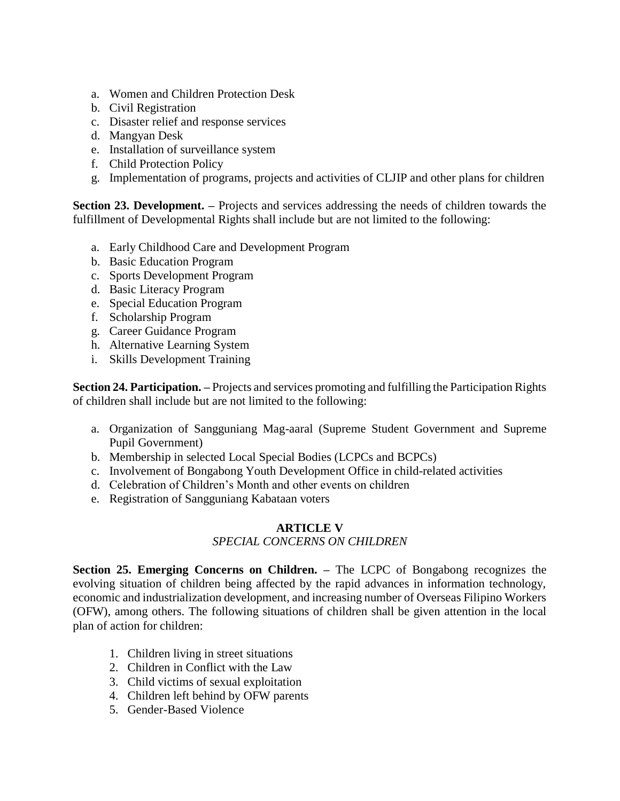- a. Women and Children Protection Desk
- b. Civil Registration
- c. Disaster relief and response services
- d. Mangyan Desk
- e. Installation of surveillance system
- f. Child Protection Policy
- g. Implementation of programs, projects and activities of CLJIP and other plans for children

**Section 23. Development.** – Projects and services addressing the needs of children towards the fulfillment of Developmental Rights shall include but are not limited to the following:

- a. Early Childhood Care and Development Program
- b. Basic Education Program
- c. Sports Development Program
- d. Basic Literacy Program
- e. Special Education Program
- f. Scholarship Program
- g. Career Guidance Program
- h. Alternative Learning System
- i. Skills Development Training

**Section 24. Participation. –** Projects and services promoting and fulfilling the Participation Rights of children shall include but are not limited to the following:

- a. Organization of Sangguniang Mag-aaral (Supreme Student Government and Supreme Pupil Government)
- b. Membership in selected Local Special Bodies (LCPCs and BCPCs)
- c. Involvement of Bongabong Youth Development Office in child-related activities
- d. Celebration of Children's Month and other events on children
- e. Registration of Sangguniang Kabataan voters

# **ARTICLE V**

#### *SPECIAL CONCERNS ON CHILDREN*

**Section 25. Emerging Concerns on Children. –** The LCPC of Bongabong recognizes the evolving situation of children being affected by the rapid advances in information technology, economic and industrialization development, and increasing number of Overseas Filipino Workers (OFW), among others. The following situations of children shall be given attention in the local plan of action for children:

- 1. Children living in street situations
- 2. Children in Conflict with the Law
- 3. Child victims of sexual exploitation
- 4. Children left behind by OFW parents
- 5. Gender-Based Violence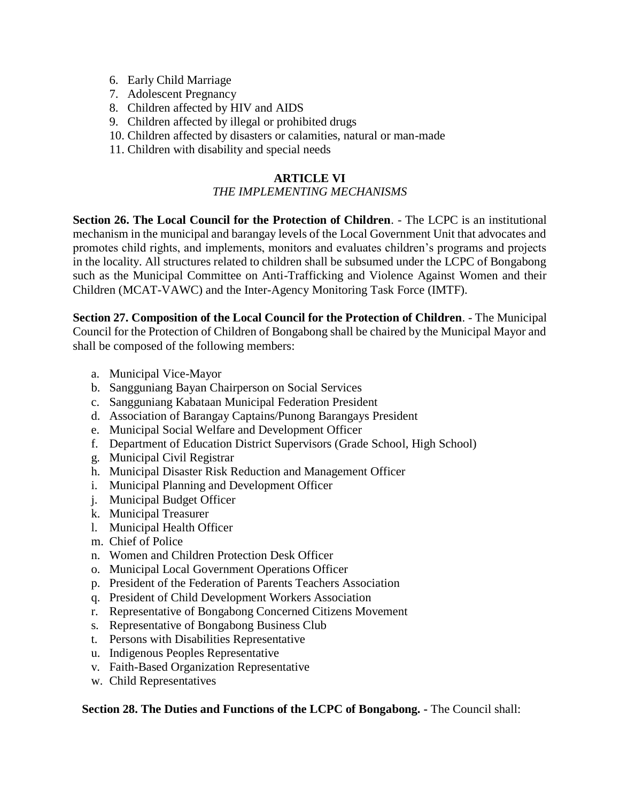- 6. Early Child Marriage
- 7. Adolescent Pregnancy
- 8. Children affected by HIV and AIDS
- 9. Children affected by illegal or prohibited drugs
- 10. Children affected by disasters or calamities, natural or man-made
- 11. Children with disability and special needs

# **ARTICLE VI**

# *THE IMPLEMENTING MECHANISMS*

**Section 26. The Local Council for the Protection of Children**. - The LCPC is an institutional mechanism in the municipal and barangay levels of the Local Government Unit that advocates and promotes child rights, and implements, monitors and evaluates children's programs and projects in the locality. All structures related to children shall be subsumed under the LCPC of Bongabong such as the Municipal Committee on Anti-Trafficking and Violence Against Women and their Children (MCAT-VAWC) and the Inter-Agency Monitoring Task Force (IMTF).

**Section 27. Composition of the Local Council for the Protection of Children**. - The Municipal Council for the Protection of Children of Bongabong shall be chaired by the Municipal Mayor and shall be composed of the following members:

- a. Municipal Vice-Mayor
- b. Sangguniang Bayan Chairperson on Social Services
- c. Sangguniang Kabataan Municipal Federation President
- d. Association of Barangay Captains/Punong Barangays President
- e. Municipal Social Welfare and Development Officer
- f. Department of Education District Supervisors (Grade School, High School)
- g. Municipal Civil Registrar
- h. Municipal Disaster Risk Reduction and Management Officer
- i. Municipal Planning and Development Officer
- j. Municipal Budget Officer
- k. Municipal Treasurer
- l. Municipal Health Officer
- m. Chief of Police
- n. Women and Children Protection Desk Officer
- o. Municipal Local Government Operations Officer
- p. President of the Federation of Parents Teachers Association
- q. President of Child Development Workers Association
- r. Representative of Bongabong Concerned Citizens Movement
- s. Representative of Bongabong Business Club
- t. Persons with Disabilities Representative
- u. Indigenous Peoples Representative
- v. Faith-Based Organization Representative
- w. Child Representatives

**Section 28. The Duties and Functions of the LCPC of Bongabong. -** The Council shall: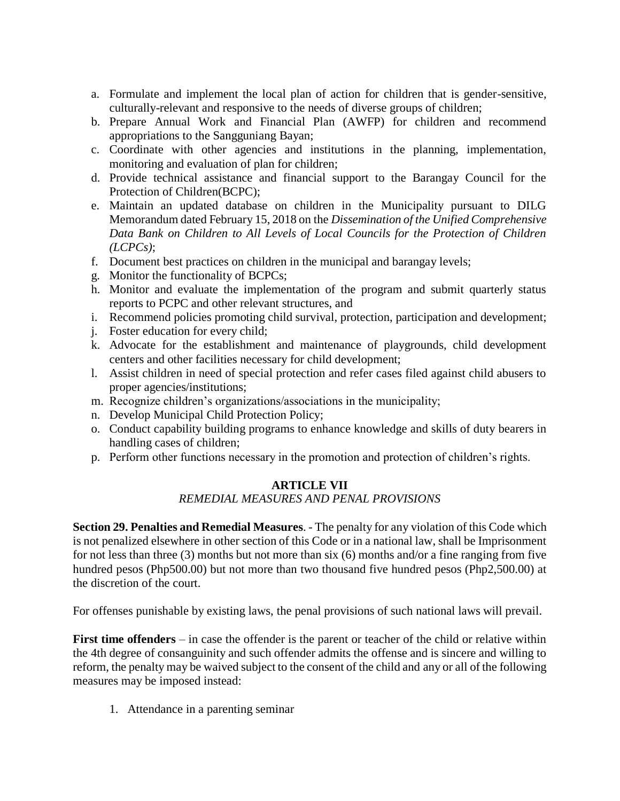- a. Formulate and implement the local plan of action for children that is gender-sensitive, culturally-relevant and responsive to the needs of diverse groups of children;
- b. Prepare Annual Work and Financial Plan (AWFP) for children and recommend appropriations to the Sangguniang Bayan;
- c. Coordinate with other agencies and institutions in the planning, implementation, monitoring and evaluation of plan for children;
- d. Provide technical assistance and financial support to the Barangay Council for the Protection of Children(BCPC);
- e. Maintain an updated database on children in the Municipality pursuant to DILG Memorandum dated February 15, 2018 on the *Dissemination of the Unified Comprehensive Data Bank on Children to All Levels of Local Councils for the Protection of Children (LCPCs)*;
- f. Document best practices on children in the municipal and barangay levels;
- g. Monitor the functionality of BCPCs;
- h. Monitor and evaluate the implementation of the program and submit quarterly status reports to PCPC and other relevant structures, and
- i. Recommend policies promoting child survival, protection, participation and development;
- j. Foster education for every child;
- k. Advocate for the establishment and maintenance of playgrounds, child development centers and other facilities necessary for child development;
- l. Assist children in need of special protection and refer cases filed against child abusers to proper agencies/institutions;
- m. Recognize children's organizations/associations in the municipality;
- n. Develop Municipal Child Protection Policy;
- o. Conduct capability building programs to enhance knowledge and skills of duty bearers in handling cases of children;
- p. Perform other functions necessary in the promotion and protection of children's rights.

# **ARTICLE VII**

# *REMEDIAL MEASURES AND PENAL PROVISIONS*

**Section 29. Penalties and Remedial Measures**. - The penalty for any violation of this Code which is not penalized elsewhere in other section of this Code or in a national law, shall be Imprisonment for not less than three (3) months but not more than six (6) months and/or a fine ranging from five hundred pesos (Php500.00) but not more than two thousand five hundred pesos (Php2,500.00) at the discretion of the court.

For offenses punishable by existing laws, the penal provisions of such national laws will prevail.

**First time offenders** – in case the offender is the parent or teacher of the child or relative within the 4th degree of consanguinity and such offender admits the offense and is sincere and willing to reform, the penalty may be waived subject to the consent of the child and any or all of the following measures may be imposed instead:

1. Attendance in a parenting seminar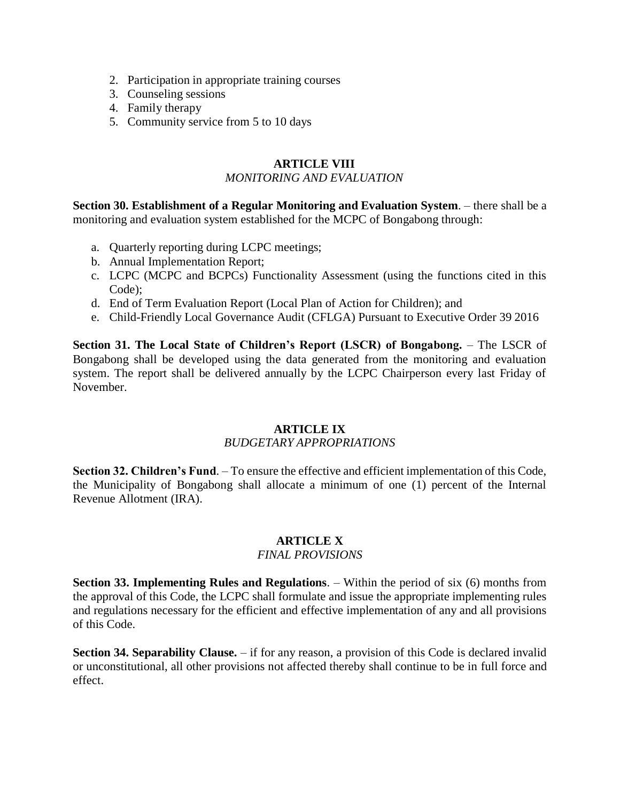- 2. Participation in appropriate training courses
- 3. Counseling sessions
- 4. Family therapy
- 5. Community service from 5 to 10 days

# **ARTICLE VIII**

#### *MONITORING AND EVALUATION*

**Section 30. Establishment of a Regular Monitoring and Evaluation System**. – there shall be a monitoring and evaluation system established for the MCPC of Bongabong through:

- a. Quarterly reporting during LCPC meetings;
- b. Annual Implementation Report;
- c. LCPC (MCPC and BCPCs) Functionality Assessment (using the functions cited in this Code);
- d. End of Term Evaluation Report (Local Plan of Action for Children); and
- e. Child-Friendly Local Governance Audit (CFLGA) Pursuant to Executive Order 39 2016

**Section 31. The Local State of Children's Report (LSCR) of Bongabong.** – The LSCR of Bongabong shall be developed using the data generated from the monitoring and evaluation system. The report shall be delivered annually by the LCPC Chairperson every last Friday of November.

# **ARTICLE IX**

# *BUDGETARY APPROPRIATIONS*

**Section 32. Children's Fund**. – To ensure the effective and efficient implementation of this Code, the Municipality of Bongabong shall allocate a minimum of one (1) percent of the Internal Revenue Allotment (IRA).

# **ARTICLE X**

#### *FINAL PROVISIONS*

**Section 33. Implementing Rules and Regulations**. – Within the period of six (6) months from the approval of this Code, the LCPC shall formulate and issue the appropriate implementing rules and regulations necessary for the efficient and effective implementation of any and all provisions of this Code.

**Section 34. Separability Clause.** – if for any reason, a provision of this Code is declared invalid or unconstitutional, all other provisions not affected thereby shall continue to be in full force and effect.